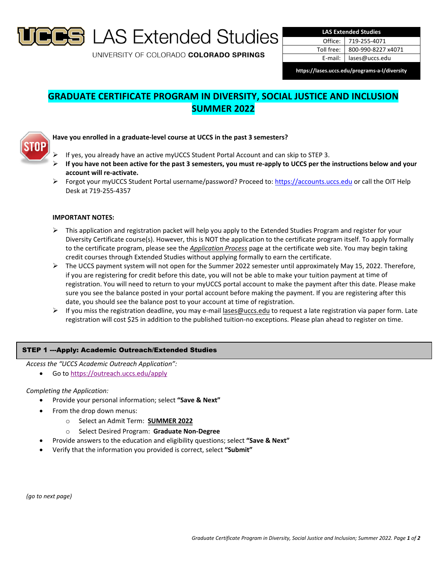

UNIVERSITY OF COLORADO COLORADO SPRINGS

| <b>LAS Extended Studies</b> |                    |
|-----------------------------|--------------------|
| Office:                     | 719-255-4071       |
| Toll free:                  | 800-990-8227 x4071 |
| E-mail:                     | lases@uccs.edu     |

**https://lases.uccs.edu/programs‐a‐l/diversity**

# **GRADUATE CERTIFICATE PROGRAM IN DIVERSITY, SOCIAL JUSTICE AND INCLUSION SUMMER 2022**



## **Have you enrolled in a graduate‐level course at UCCS in the past 3 semesters?**

- If yes, you already have an active myUCCS Student Portal Account and can skip to STEP 3.
- If you have not been active for the past 3 semesters, you must re-apply to UCCS per the instructions below and your **account will re‐activate.**
- Forgot your myUCCS Student Portal username/password? Proceed to: https://accounts.uccs.edu or call the OIT Help Desk at 719‐255‐4357

## **IMPORTANT NOTES:**

- $\triangleright$  This application and registration packet will help you apply to the Extended Studies Program and register for your Diversity Certificate course(s). However, this is NOT the application to the certificate program itself. To apply formally to the certificate program, please see the *Application Process* page at the certificate web site. You may begin taking credit courses through Extended Studies without applying formally to earn the certificate.
- $\triangleright$  The UCCS payment system will not open for the Summer 2022 semester until approximately May 15, 2022. Therefore, if you are registering for credit before this date, you will not be able to make your tuition payment at time of registration. You will need to return to your myUCCS portal account to make the payment after this date. Please make sure you see the balance posted in your portal account before making the payment. If you are registering after this date, you should see the balance post to your account at time of registration.
- $\triangleright$  If you miss the registration deadline, you may e-mail lases@uccs.edu to request a late registration via paper form. Late registration will cost \$25 in addition to the published tuition‐no exceptions. Please plan ahead to register on time.

## STEP 1 ---Apply: Academic Outreach/Extended Studies

*Access the "UCCS Academic Outreach Application":*

Go to https://outreach.uccs.edu/apply

### *Completing the Application:*

- Provide your personal information; select **"Save & Next"**
- From the drop down menus:
	- o Select an Admit Term: **SUMMER 2022**
	- o Select Desired Program: **Graduate Non‐Degree**
- Provide answers to the education and eligibility questions; select **"Save & Next"**
- Verify that the information you provided is correct, select **"Submit"**

*(go to next page)*